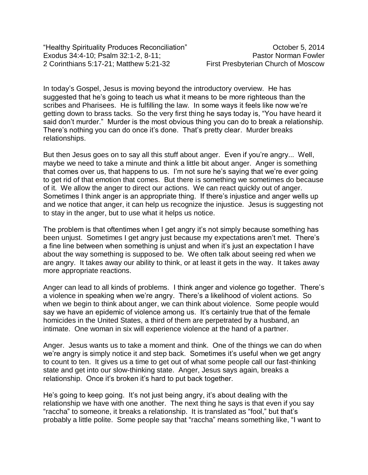"Healthy Spirituality Produces Reconciliation" The Common Corporation of the United States of the October 5, 2014 Exodus 34:4-10; Psalm 32:1-2, 8-11; Pastor Norman Fowler 2 Corinthians 5:17-21; Matthew 5:21-32 First Presbyterian Church of Moscow

In today's Gospel, Jesus is moving beyond the introductory overview. He has suggested that he's going to teach us what it means to be more righteous than the scribes and Pharisees. He is fulfilling the law. In some ways it feels like now we're getting down to brass tacks. So the very first thing he says today is, "You have heard it said don't murder." Murder is the most obvious thing you can do to break a relationship. There's nothing you can do once it's done. That's pretty clear. Murder breaks relationships.

But then Jesus goes on to say all this stuff about anger. Even if you're angry... Well, maybe we need to take a minute and think a little bit about anger. Anger is something that comes over us, that happens to us. I'm not sure he's saying that we're ever going to get rid of that emotion that comes. But there is something we sometimes do because of it. We allow the anger to direct our actions. We can react quickly out of anger. Sometimes I think anger is an appropriate thing. If there's injustice and anger wells up and we notice that anger, it can help us recognize the injustice. Jesus is suggesting not to stay in the anger, but to use what it helps us notice.

The problem is that oftentimes when I get angry it's not simply because something has been unjust. Sometimes I get angry just because my expectations aren't met. There's a fine line between when something is unjust and when it's just an expectation I have about the way something is supposed to be. We often talk about seeing red when we are angry. It takes away our ability to think, or at least it gets in the way. It takes away more appropriate reactions.

Anger can lead to all kinds of problems. I think anger and violence go together. There's a violence in speaking when we're angry. There's a likelihood of violent actions. So when we begin to think about anger, we can think about violence. Some people would say we have an epidemic of violence among us. It's certainly true that of the female homicides in the United States, a third of them are perpetrated by a husband, an intimate. One woman in six will experience violence at the hand of a partner.

Anger. Jesus wants us to take a moment and think. One of the things we can do when we're angry is simply notice it and step back. Sometimes it's useful when we get angry to count to ten. It gives us a time to get out of what some people call our fast-thinking state and get into our slow-thinking state. Anger, Jesus says again, breaks a relationship. Once it's broken it's hard to put back together.

He's going to keep going. It's not just being angry, it's about dealing with the relationship we have with one another. The next thing he says is that even if you say "raccha" to someone, it breaks a relationship. It is translated as "fool," but that's probably a little polite. Some people say that "raccha" means something like, "I want to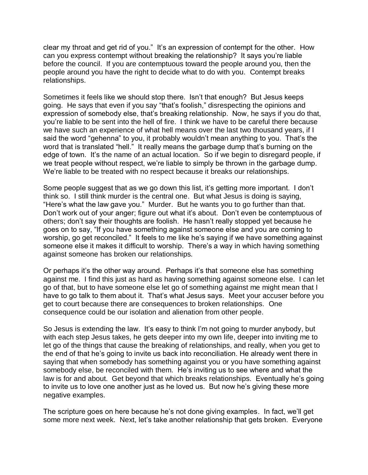clear my throat and get rid of you." It's an expression of contempt for the other. How can you express contempt without breaking the relationship? It says you're liable before the council. If you are contemptuous toward the people around you, then the people around you have the right to decide what to do with you. Contempt breaks relationships.

Sometimes it feels like we should stop there. Isn't that enough? But Jesus keeps going. He says that even if you say "that's foolish," disrespecting the opinions and expression of somebody else, that's breaking relationship. Now, he says if you do that, you're liable to be sent into the hell of fire. I think we have to be careful there because we have such an experience of what hell means over the last two thousand years, if I said the word "gehenna" to you, it probably wouldn't mean anything to you. That's the word that is translated "hell." It really means the garbage dump that's burning on the edge of town. It's the name of an actual location. So if we begin to disregard people, if we treat people without respect, we're liable to simply be thrown in the garbage dump. We're liable to be treated with no respect because it breaks our relationships.

Some people suggest that as we go down this list, it's getting more important. I don't think so. I still think murder is the central one. But what Jesus is doing is saying, "Here's what the law gave you." Murder. But he wants you to go further than that. Don't work out of your anger; figure out what it's about. Don't even be contemptuous of others; don't say their thoughts are foolish. He hasn't really stopped yet because he goes on to say, "If you have something against someone else and you are coming to worship, go get reconciled." It feels to me like he's saying if we have something against someone else it makes it difficult to worship. There's a way in which having something against someone has broken our relationships.

Or perhaps it's the other way around. Perhaps it's that someone else has something against me. I find this just as hard as having something against someone else. I can let go of that, but to have someone else let go of something against me might mean that I have to go talk to them about it. That's what Jesus says. Meet your accuser before you get to court because there are consequences to broken relationships. One consequence could be our isolation and alienation from other people.

So Jesus is extending the law. It's easy to think I'm not going to murder anybody, but with each step Jesus takes, he gets deeper into my own life, deeper into inviting me to let go of the things that cause the breaking of relationships, and really, when you get to the end of that he's going to invite us back into reconciliation. He already went there in saying that when somebody has something against you or you have something against somebody else, be reconciled with them. He's inviting us to see where and what the law is for and about. Get beyond that which breaks relationships. Eventually he's going to invite us to love one another just as he loved us. But now he's giving these more negative examples.

The scripture goes on here because he's not done giving examples. In fact, we'll get some more next week. Next, let's take another relationship that gets broken. Everyone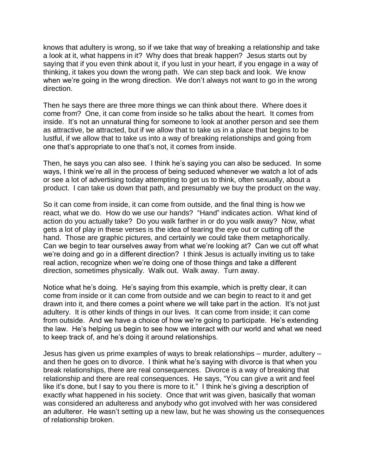knows that adultery is wrong, so if we take that way of breaking a relationship and take a look at it, what happens in it? Why does that break happen? Jesus starts out by saying that if you even think about it, if you lust in your heart, if you engage in a way of thinking, it takes you down the wrong path. We can step back and look. We know when we're going in the wrong direction. We don't always not want to go in the wrong direction.

Then he says there are three more things we can think about there. Where does it come from? One, it can come from inside so he talks about the heart. It comes from inside. It's not an unnatural thing for someone to look at another person and see them as attractive, be attracted, but if we allow that to take us in a place that begins to be lustful, if we allow that to take us into a way of breaking relationships and going from one that's appropriate to one that's not, it comes from inside.

Then, he says you can also see. I think he's saying you can also be seduced. In some ways, I think we're all in the process of being seduced whenever we watch a lot of ads or see a lot of advertising today attempting to get us to think, often sexually, about a product. I can take us down that path, and presumably we buy the product on the way.

So it can come from inside, it can come from outside, and the final thing is how we react, what we do. How do we use our hands? "Hand" indicates action. What kind of action do you actually take? Do you walk farther in or do you walk away? Now, what gets a lot of play in these verses is the idea of tearing the eye out or cutting off the hand. Those are graphic pictures, and certainly we could take them metaphorically. Can we begin to tear ourselves away from what we're looking at? Can we cut off what we're doing and go in a different direction? I think Jesus is actually inviting us to take real action, recognize when we're doing one of those things and take a different direction, sometimes physically. Walk out. Walk away. Turn away.

Notice what he's doing. He's saying from this example, which is pretty clear, it can come from inside or it can come from outside and we can begin to react to it and get drawn into it, and there comes a point where we will take part in the action. It's not just adultery. It is other kinds of things in our lives. It can come from inside; it can come from outside. And we have a choice of how we're going to participate. He's extending the law. He's helping us begin to see how we interact with our world and what we need to keep track of, and he's doing it around relationships.

Jesus has given us prime examples of ways to break relationships – murder, adultery – and then he goes on to divorce. I think what he's saying with divorce is that when you break relationships, there are real consequences. Divorce is a way of breaking that relationship and there are real consequences. He says, "You can give a writ and feel like it's done, but I say to you there is more to it." I think he's giving a description of exactly what happened in his society. Once that writ was given, basically that woman was considered an adulteress and anybody who got involved with her was considered an adulterer. He wasn't setting up a new law, but he was showing us the consequences of relationship broken.